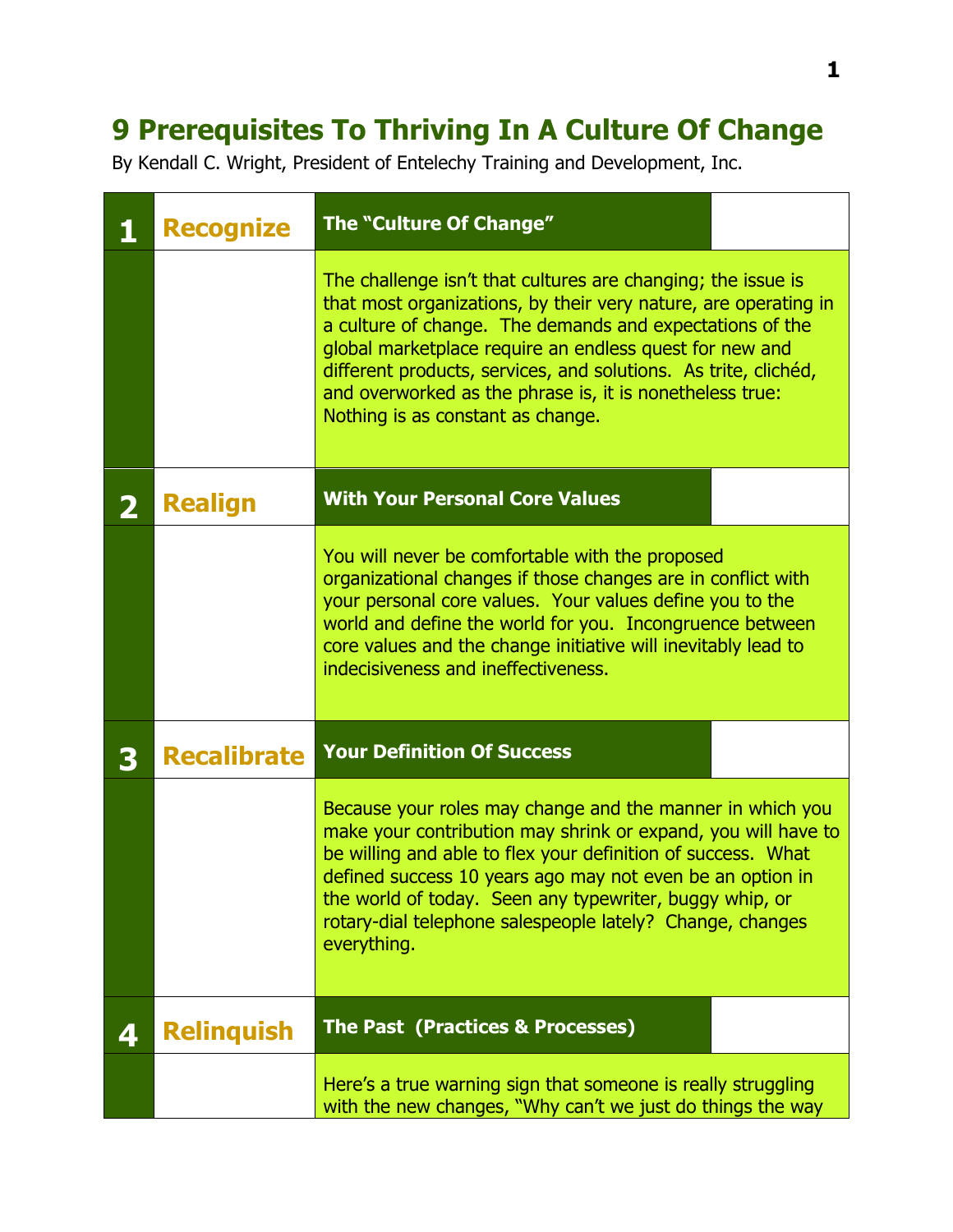## **9 Prerequisites To Thriving In A Culture Of Change**

By Kendall C. Wright, President of Entelechy Training and Development, Inc.

|              | <b>Recognize</b>   | The "Culture Of Change"                                                                                                                                                                                                                                                                                                                                                                                                    |  |
|--------------|--------------------|----------------------------------------------------------------------------------------------------------------------------------------------------------------------------------------------------------------------------------------------------------------------------------------------------------------------------------------------------------------------------------------------------------------------------|--|
|              |                    | The challenge isn't that cultures are changing; the issue is<br>that most organizations, by their very nature, are operating in<br>a culture of change. The demands and expectations of the<br>global marketplace require an endless quest for new and<br>different products, services, and solutions. As trite, clichéd,<br>and overworked as the phrase is, it is nonetheless true:<br>Nothing is as constant as change. |  |
| $\mathbf{2}$ | <b>Realign</b>     | <b>With Your Personal Core Values</b>                                                                                                                                                                                                                                                                                                                                                                                      |  |
|              |                    | You will never be comfortable with the proposed<br>organizational changes if those changes are in conflict with<br>your personal core values. Your values define you to the<br>world and define the world for you. Incongruence between<br>core values and the change initiative will inevitably lead to<br>indecisiveness and ineffectiveness.                                                                            |  |
| 3            | <b>Recalibrate</b> | <b>Your Definition Of Success</b>                                                                                                                                                                                                                                                                                                                                                                                          |  |
|              |                    | Because your roles may change and the manner in which you<br>make your contribution may shrink or expand, you will have to<br>be willing and able to flex your definition of success. What<br>defined success 10 years ago may not even be an option in<br>the world of today. Seen any typewriter, buggy whip, or<br>rotary-dial telephone salespeople lately? Change, changes<br>everything.                             |  |
| 4            | <b>Relinguish</b>  | <b>The Past (Practices &amp; Processes)</b>                                                                                                                                                                                                                                                                                                                                                                                |  |
|              |                    | Here's a true warning sign that someone is really struggling<br>with the new changes, "Why can't we just do things the way                                                                                                                                                                                                                                                                                                 |  |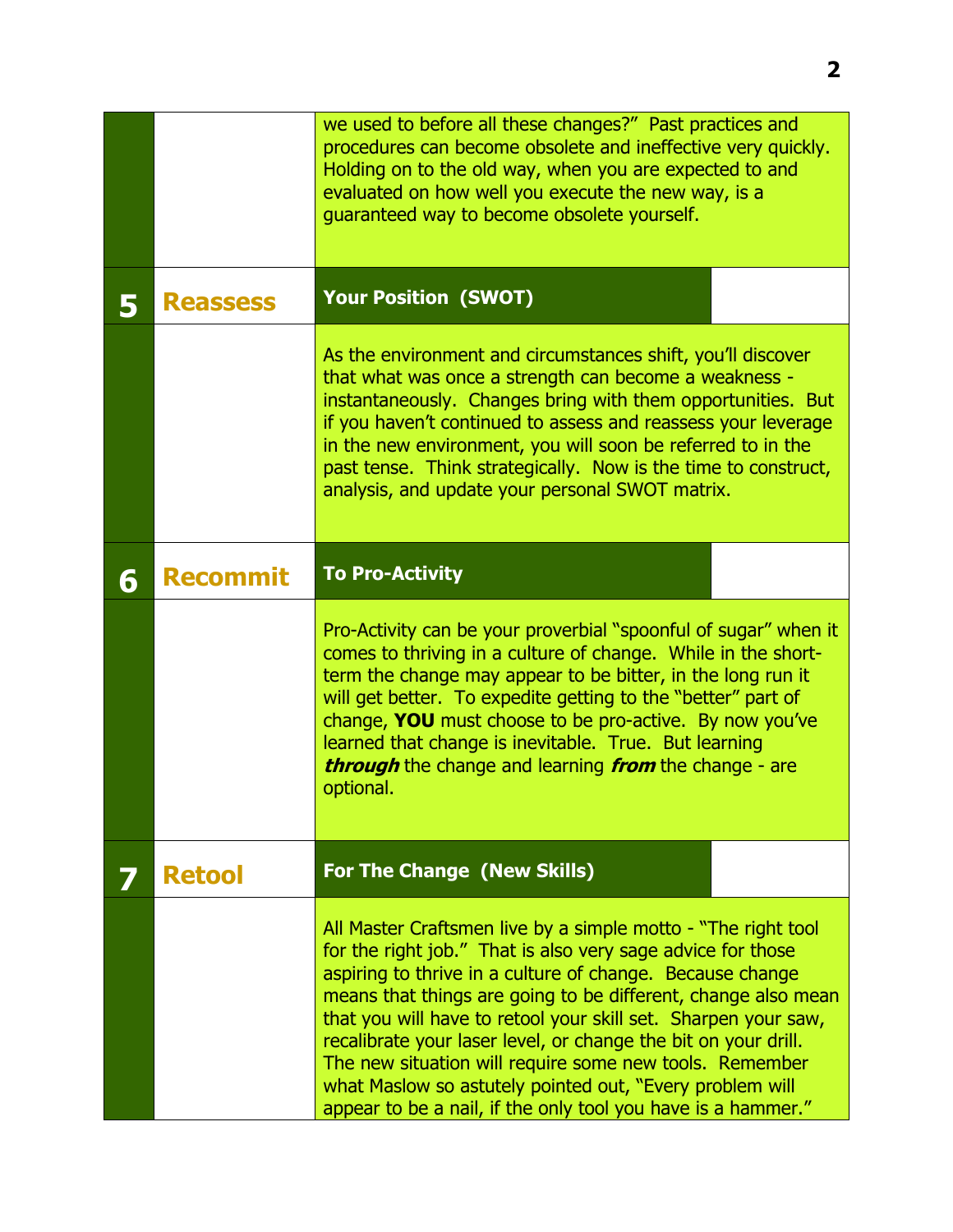|   |                 | we used to before all these changes?" Past practices and<br>procedures can become obsolete and ineffective very quickly.<br>Holding on to the old way, when you are expected to and<br>evaluated on how well you execute the new way, is a<br>guaranteed way to become obsolete yourself.                                                                                                                                                                                                                                                                                             |  |  |
|---|-----------------|---------------------------------------------------------------------------------------------------------------------------------------------------------------------------------------------------------------------------------------------------------------------------------------------------------------------------------------------------------------------------------------------------------------------------------------------------------------------------------------------------------------------------------------------------------------------------------------|--|--|
| 5 | <b>Reassess</b> | <b>Your Position (SWOT)</b>                                                                                                                                                                                                                                                                                                                                                                                                                                                                                                                                                           |  |  |
|   |                 | As the environment and circumstances shift, you'll discover<br>that what was once a strength can become a weakness -<br>instantaneously. Changes bring with them opportunities. But<br>if you haven't continued to assess and reassess your leverage<br>in the new environment, you will soon be referred to in the<br>past tense. Think strategically. Now is the time to construct,<br>analysis, and update your personal SWOT matrix.                                                                                                                                              |  |  |
| 6 | <b>Recommit</b> | <b>To Pro-Activity</b>                                                                                                                                                                                                                                                                                                                                                                                                                                                                                                                                                                |  |  |
|   |                 | Pro-Activity can be your proverbial "spoonful of sugar" when it<br>comes to thriving in a culture of change. While in the short-<br>term the change may appear to be bitter, in the long run it<br>will get better. To expedite getting to the "better" part of<br>change, YOU must choose to be pro-active. By now you've<br>learned that change is inevitable. True. But learning<br><b>through</b> the change and learning <b>from</b> the change - are<br>optional.                                                                                                               |  |  |
|   | <b>Retool</b>   | <b>For The Change (New Skills)</b>                                                                                                                                                                                                                                                                                                                                                                                                                                                                                                                                                    |  |  |
|   |                 | All Master Craftsmen live by a simple motto - "The right tool<br>for the right job." That is also very sage advice for those<br>aspiring to thrive in a culture of change. Because change<br>means that things are going to be different, change also mean<br>that you will have to retool your skill set. Sharpen your saw,<br>recalibrate your laser level, or change the bit on your drill.<br>The new situation will require some new tools. Remember<br>what Maslow so astutely pointed out, "Every problem will<br>appear to be a nail, if the only tool you have is a hammer." |  |  |